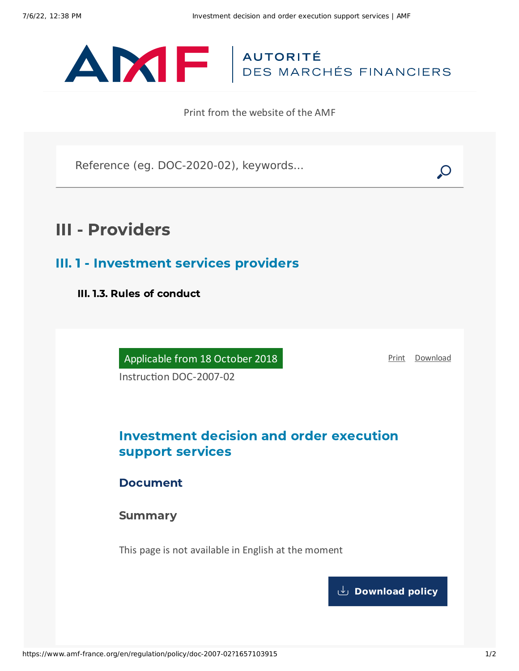

Print from the website of the AMF

Reference (eg. DOC-2020-02), keywords...

# III - Providers

III. 1 - Investment services providers

III. 1.3. Rules of conduct

Applicable from 18 October 2018

[Print](javascript:window.print()) [Download](https://www.amf-france.org/sites/default/files/pdf/62884/en/Investment_decision_and_order_execution_support_services.pdf?1657103917)

Instruction DOC-2007-02

# Investment decision and order execution support services

Document

**Summary** 

This page is not available in English at the moment

**[Download](https://www.amf-france.org/sites/default/files/pdf/62884/en/Investment_decision_and_order_execution_support_services.pdf?1657103917?1657103917) policy**